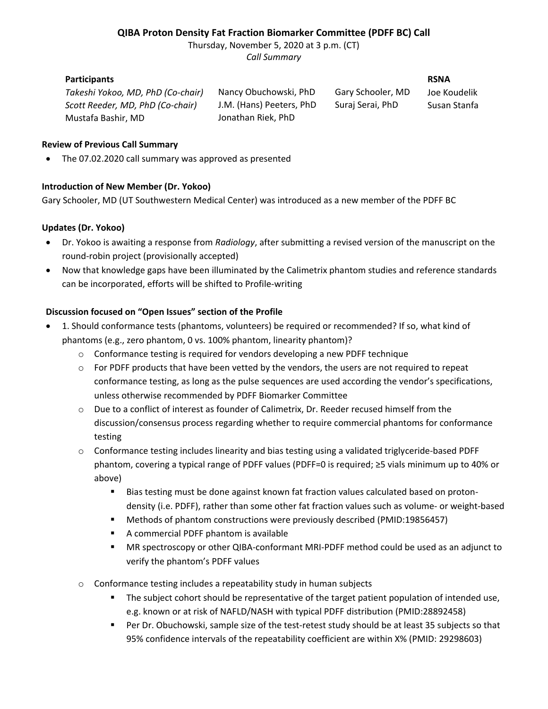# **QIBA Proton Density Fat Fraction Biomarker Committee (PDFF BC) Call**

Thursday, November 5, 2020 at 3 p.m. (CT) *Call Summary*

## **Participants RSNA**

*Takeshi Yokoo, MD, PhD (Co-chair)* Nancy Obuchowski, PhD Gary Schooler, MD Joe Koudelik *Scott Reeder, MD, PhD (Co-chair)* J.M. (Hans) Peeters, PhD Suraj Serai, PhD Susan Stanfa Mustafa Bashir, MD Jonathan Riek, PhD

### **Review of Previous Call Summary**

• The 07.02.2020 call summary was approved as presented

### **Introduction of New Member (Dr. Yokoo)**

Gary Schooler, MD (UT Southwestern Medical Center) was introduced as a new member of the PDFF BC

### **Updates (Dr. Yokoo)**

- Dr. Yokoo is awaiting a response from *Radiology*, after submitting a revised version of the manuscript on the round-robin project (provisionally accepted)
- Now that knowledge gaps have been illuminated by the Calimetrix phantom studies and reference standards can be incorporated, efforts will be shifted to Profile-writing

### **Discussion focused on "Open Issues" section of the Profile**

- 1. Should conformance tests (phantoms, volunteers) be required or recommended? If so, what kind of phantoms (e.g., zero phantom, 0 vs. 100% phantom, linearity phantom)?
	- o Conformance testing is required for vendors developing a new PDFF technique
	- $\circ$  For PDFF products that have been vetted by the vendors, the users are not required to repeat conformance testing, as long as the pulse sequences are used according the vendor's specifications, unless otherwise recommended by PDFF Biomarker Committee
	- o Due to a conflict of interest as founder of Calimetrix, Dr. Reeder recused himself from the discussion/consensus process regarding whether to require commercial phantoms for conformance testing
	- o Conformance testing includes linearity and bias testing using a validated triglyceride-based PDFF phantom, covering a typical range of PDFF values (PDFF=0 is required; ≥5 vials minimum up to 40% or above)
		- Bias testing must be done against known fat fraction values calculated based on protondensity (i.e. PDFF), rather than some other fat fraction values such as volume- or weight-based
		- Methods of phantom constructions were previously described (PMID:19856457)
		- A commercial PDFF phantom is available
		- MR spectroscopy or other QIBA-conformant MRI-PDFF method could be used as an adjunct to verify the phantom's PDFF values
	- o Conformance testing includes a repeatability study in human subjects
		- The subject cohort should be representative of the target patient population of intended use, e.g. known or at risk of NAFLD/NASH with typical PDFF distribution (PMID:28892458)
		- Per Dr. Obuchowski, sample size of the test-retest study should be at least 35 subjects so that 95% confidence intervals of the repeatability coefficient are within X% (PMID: 29298603)